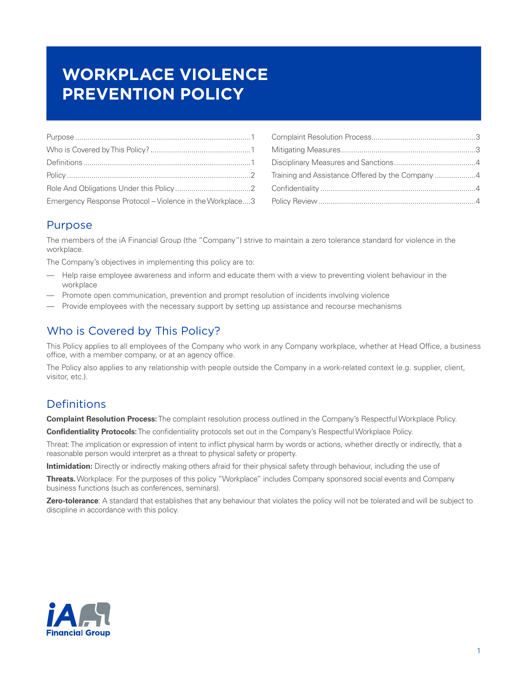# **WORKPLACE VIOLENCE PREVENTION POLICY**

| Emergency Response Protocol - Violence in the Workplace3 |  |
|----------------------------------------------------------|--|

| Training and Assistance Offered by the Company 4 |  |
|--------------------------------------------------|--|
|                                                  |  |
|                                                  |  |

### Purpose

The members of the iA Financial Group (the "Company") strive to maintain a zero tolerance standard for violence in the workplace.

The Company's objectives in implementing this policy are to:

- Help raise employee awareness and inform and educate them with a view to preventing violent behaviour in the workplace
- Promote open communication, prevention and prompt resolution of incidents involving violence
- Provide employees with the necessary support by setting up assistance and recourse mechanisms

# Who is Covered by This Policy?

This Policy applies to all employees of the Company who work in any Company workplace, whether at Head Office, a business office, with a member company, or at an agency office.

The Policy also applies to any relationship with people outside the Company in a work-related context (e.g. supplier, client, visitor, etc.).

# **Definitions**

**Complaint Resolution Process:** The complaint resolution process outlined in the Company's Respectful Workplace Policy.

**Confidentiality Protocols:** The confidentiality protocols set out in the Company's Respectful Workplace Policy.

Threat: The implication or expression of intent to inflict physical harm by words or actions, whether directly or indirectly, that a reasonable person would interpret as a threat to physical safety or property.

**Intimidation:** Directly or indirectly making others afraid for their physical safety through behaviour, including the use of

**Threats.** Workplace: For the purposes of this policy "Workplace" includes Company sponsored social events and Company business functions (such as conferences, seminars).

**Zero-tolerance**: A standard that establishes that any behaviour that violates the policy will not be tolerated and will be subject to discipline in accordance with this policy.

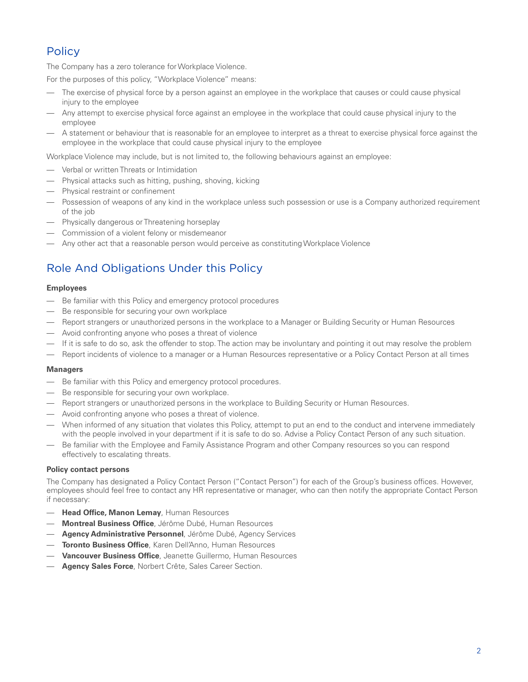# <span id="page-1-0"></span>**Policy**

The Company has a zero tolerance for Workplace Violence.

For the purposes of this policy, "Workplace Violence" means:

- The exercise of physical force by a person against an employee in the workplace that causes or could cause physical injury to the employee
- Any attempt to exercise physical force against an employee in the workplace that could cause physical injury to the employee
- A statement or behaviour that is reasonable for an employee to interpret as a threat to exercise physical force against the employee in the workplace that could cause physical injury to the employee

Workplace Violence may include, but is not limited to, the following behaviours against an employee:

- Verbal or written Threats or Intimidation
- Physical attacks such as hitting, pushing, shoving, kicking
- Physical restraint or confinement
- Possession of weapons of any kind in the workplace unless such possession or use is a Company authorized requirement of the job
- Physically dangerous or Threatening horseplay
- Commission of a violent felony or misdemeanor
- Any other act that a reasonable person would perceive as constituting Workplace Violence

# Role And Obligations Under this Policy

#### **Employees**

- Be familiar with this Policy and emergency protocol procedures
- Be responsible for securing your own workplace
- Report strangers or unauthorized persons in the workplace to a Manager or Building Security or Human Resources
- Avoid confronting anyone who poses a threat of violence
- If it is safe to do so, ask the offender to stop. The action may be involuntary and pointing it out may resolve the problem
- Report incidents of violence to a manager or a Human Resources representative or a Policy Contact Person at all times

#### **Managers**

- Be familiar with this Policy and emergency protocol procedures.
- Be responsible for securing your own workplace.
- Report strangers or unauthorized persons in the workplace to Building Security or Human Resources.
- Avoid confronting anyone who poses a threat of violence.
- When informed of any situation that violates this Policy, attempt to put an end to the conduct and intervene immediately with the people involved in your department if it is safe to do so. Advise a Policy Contact Person of any such situation.
- Be familiar with the Employee and Family Assistance Program and other Company resources so you can respond effectively to escalating threats.

#### **Policy contact persons**

The Company has designated a Policy Contact Person ("Contact Person") for each of the Group's business offices. However, employees should feel free to contact any HR representative or manager, who can then notify the appropriate Contact Person if necessary:

- **Head Office, Manon Lemay**, Human Resources
- **Montreal Business Office**, Jérôme Dubé, Human Resources
- **Agency Administrative Personnel**, Jérôme Dubé, Agency Services
- **Toronto Business Office**, Karen Dell'Anno, Human Resources
- **Vancouver Business Office**, Jeanette Guillermo, Human Resources
- **Agency Sales Force**, Norbert Crête, Sales Career Section.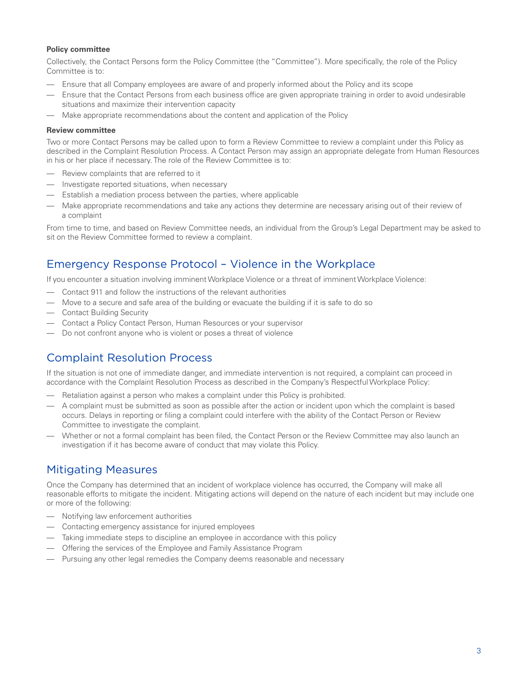#### <span id="page-2-0"></span>**Policy committee**

Collectively, the Contact Persons form the Policy Committee (the "Committee"). More specifically, the role of the Policy Committee is to:

- Ensure that all Company employees are aware of and properly informed about the Policy and its scope
- Ensure that the Contact Persons from each business office are given appropriate training in order to avoid undesirable situations and maximize their intervention capacity
- Make appropriate recommendations about the content and application of the Policy

#### **Review committee**

Two or more Contact Persons may be called upon to form a Review Committee to review a complaint under this Policy as described in the Complaint Resolution Process. A Contact Person may assign an appropriate delegate from Human Resources in his or her place if necessary. The role of the Review Committee is to:

- Review complaints that are referred to it
- Investigate reported situations, when necessary
- Establish a mediation process between the parties, where applicable
- Make appropriate recommendations and take any actions they determine are necessary arising out of their review of a complaint

From time to time, and based on Review Committee needs, an individual from the Group's Legal Department may be asked to sit on the Review Committee formed to review a complaint.

### Emergency Response Protocol – Violence in the Workplace

If you encounter a situation involving imminent Workplace Violence or a threat of imminent Workplace Violence:

- Contact 911 and follow the instructions of the relevant authorities
- Move to a secure and safe area of the building or evacuate the building if it is safe to do so
- Contact Building Security
- Contact a Policy Contact Person, Human Resources or your supervisor
- Do not confront anyone who is violent or poses a threat of violence

### Complaint Resolution Process

If the situation is not one of immediate danger, and immediate intervention is not required, a complaint can proceed in accordance with the Complaint Resolution Process as described in the Company's Respectful Workplace Policy:

- Retaliation against a person who makes a complaint under this Policy is prohibited.
- A complaint must be submitted as soon as possible after the action or incident upon which the complaint is based occurs. Delays in reporting or filing a complaint could interfere with the ability of the Contact Person or Review Committee to investigate the complaint.
- Whether or not a formal complaint has been filed, the Contact Person or the Review Committee may also launch an investigation if it has become aware of conduct that may violate this Policy.

### Mitigating Measures

Once the Company has determined that an incident of workplace violence has occurred, the Company will make all reasonable efforts to mitigate the incident. Mitigating actions will depend on the nature of each incident but may include one or more of the following:

- Notifying law enforcement authorities
- Contacting emergency assistance for injured employees
- Taking immediate steps to discipline an employee in accordance with this policy
- Offering the services of the Employee and Family Assistance Program
- Pursuing any other legal remedies the Company deems reasonable and necessary